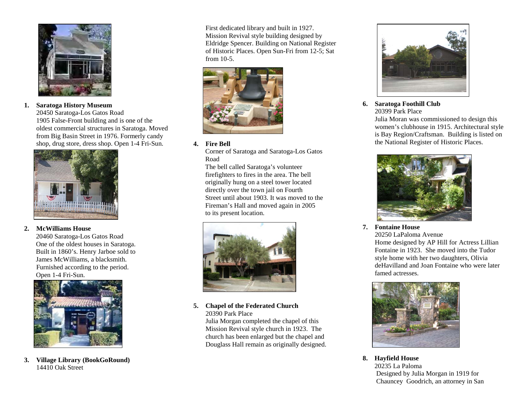

**1. Saratoga History Museum**  20450 Saratoga-Los Gatos Road 1905 False-Front building and is one of the oldest commercial structures in Saratoga. Moved from Big Basin Street in 1976. Formerly candy shop, drug store, dress shop. Open 1-4 Fri-Sun.



# **2. McWilliams House**

 20460 Saratoga-Los Gatos Road One of the oldest houses in Saratoga. Built in 1860's. Henry Jarboe sold to James McWilliams, a blacksmith. Furnished according to the period. Open 1-4 Fri-Sun.



**3. Village Library (BookGoRound)**  14410 Oak Street

First dedicated library and built in 1927. Mission Revival style building designed by Eldridge Spencer. Building on National Register of Historic Places. Open Sun-Fri from 12-5; Sat from 10-5.



# **4. Fire Bell**

 Corner of Saratoga and Saratoga-Los Gatos Road

 The bell called Saratoga's volunteer firefighters to fires in the area. The bell originally hung on a steel tower located directly over the town jail on Fourth Street until about 1903. It was moved to the Fireman's Hall and moved again in 2005 to its present location.



**5. Chapel of the Federated Church**  20390 Park Place

Julia Morgan completed the chapel of this Mission Revival style church in 1923. The church has been enlarged but the chapel and Douglass Hall remain as originally designed.



**6. Saratoga Foothill Club**  20399 Park Place

 Julia Moran was commissioned to design this women's clubhouse in 1915. Architectural style is Bay Region/Craftsman. Building is listed on the National Register of Historic Places.



**7. Fontaine House** 

20250 LaPaloma Avenue Home designed by AP Hill for Actress Lillian Fontaine in 1923. She moved into the Tudor style home with her two daughters, Olivia deHavilland and Joan Fontaine who were later famed actresses.



**8. Hayfield House**  20235 La Paloma Designed by Julia Morgan in 1919 for Chauncey Goodrich, an attorney in San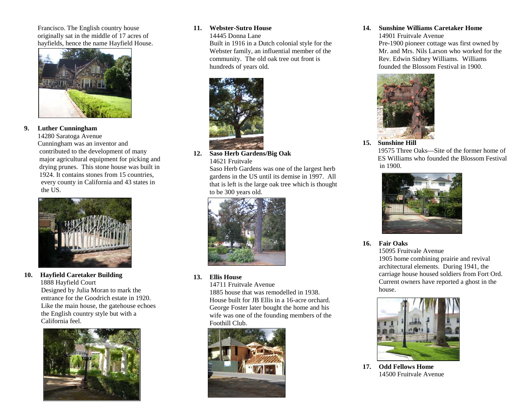Francisco. The English country house originally sat in the middle of 17 acres of hayfields, hence the name Hayfield House.



# **9. Luther Cunningham**

 14280 Saratoga Avenue Cunningham was an inventor and contributed to the development of many major agricultural equipment for picking and drying prunes. This stone house was built in 1924. It contains stones from 15 countries, every county in California and 43 states in the US.



#### **10.Hayfield Caretaker Building**

1888 Hayfield Court Designed by Julia Moran to mark the entrance for the Goodrich estate in 1920. Like the main house, the gatehouse echoes the English country style but with a California feel.



#### **11. Webster-Sutro House**

14445 Donna Lane

Built in 1916 in a Dutch colonial style for the Webster family, an influential member of the community. The old oak tree out front is hundreds of years old.



**12. Saso Herb Gardens/Big Oak**  14621 Fruitvale

> Saso Herb Gardens was one of the largest herb gardens in the US until its demise in 1997. All that is left is the large oak tree which is thought to be 300 years old.



**13. Ellis House** 

14711 Fruitvale Avenue

 1885 house that was remodelled in 1938. House built for JB Ellis in a 16-acre orchard. George Foster later bought the home and his wife was one of the founding members of the Foothill Club.



# **14. Sunshine Williams Caretaker Home**

14901 Fruitvale Avenue Pre-1900 pioneer cottage was first owned by Mr. and Mrs. Nils Larson who worked for the Rev. Edwin Sidney Williams. Williams founded the Blossom Festival in 1900.



**15. Sunshine Hill** 

 19575 Three Oaks—Site of the former home of ES Williams who founded the Blossom Festival in 1900.



# **16. Fair Oaks**

15095 Fruitvale Avenue 1905 home combining prairie and revival architectural elements. During 1941, the carriage house housed soldiers from Fort Ord. Current owners have reported a ghost in the house.



**17. Odd Fellows Home**  14500 Fruitvale Avenue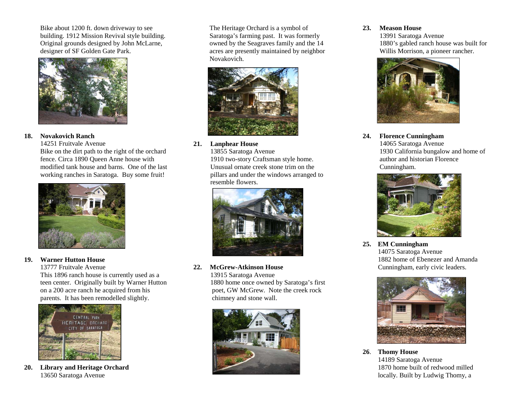Bike about 1200 ft. down driveway to see building. 1912 Mission Revival style building. Original grounds designed by John McLarne, designer of SF Golden Gate Park.



# **18. Novakovich Ranch**

14251 Fruitvale Avenue Bike on the dirt path to the right of the orchard fence. Circa 1890 Queen Anne house with modified tank house and barns. One of the last working ranches in Saratoga. Buy some fruit!



# **19. Warner Hutton House**

13777 Fruitvale Avenue

This 1896 ranch house is currently used as a teen center. Originally built by Warner Hutton on a 200 acre ranch he acquired from his parents. It has been remodelled slightly.



**20. Library and Heritage Orchard**  13650 Saratoga Avenue

The Heritage Orchard is a symbol of Saratoga's farming past. It was formerly owned by the Seagraves family and the 14 acres are presently maintained by neighbor Novakovich.



**21. Lanphear House** 

 13855 Saratoga Avenue 1910 two-story Craftsman style home. Unusual ornate creek stone trim on the pillars and under the windows arranged to resemble flowers.



**22. McGrew-Atkinson House**  13915 Saratoga Avenue 1880 home once owned by Saratoga's first poet, GW McGrew. Note the creek rock chimney and stone wall.



# **23. Meason House**

 13991 Saratoga Avenue 1880's gabled ranch house was built for Willis Morrison, a pioneer rancher.



**24. Florence Cunningham**  14065 Saratoga Avenue 1930 California bungalow and home of author and historian Florence Cunningham.



**25. EM Cunningham**  14075 Saratoga Avenue 1882 home of Ebenezer and Amanda Cunningham, early civic leaders.



**26**. **Thomy House**  14189 Saratoga Avenue 1870 home built of redwood milled locally. Built by Ludwig Thomy, a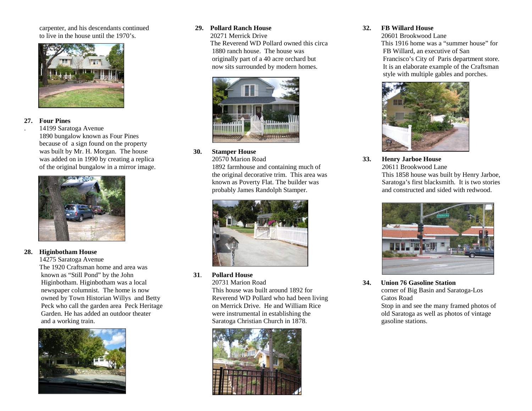carpenter, and his descendants continued to live in the house until the 1970's.



### **27. Four Pines**

 . 14199 Saratoga Avenue 1890 bungalow known as Four Pines because of a sign found on the property was built by Mr. H. Morgan. The house was added on in 1990 by creating a replica of the original bungalow in a mirror image.



#### **28. Higinbotham House**

 14275 Saratoga Avenue The 1920 Craftsman home and area was known as "Still Pond" by the John Higinbotham. Higinbotham was a local newspaper columnist. The home is now owned by Town Historian Willys and Betty Peck who call the garden area Peck Heritage Garden. He has added an outdoor theater and a working train.



### **29. Pollard Ranch House**

 20271 Merrick Drive The Reverend WD Pollard owned this circa 1880 ranch house. The house was originally part of a 40 acre orchard but now sits surrounded by modern homes.



#### **30.Stamper House**

 20570 Marion Road 1892 farmhouse and containing much of the original decorative trim. This area was known as Poverty Flat. The builder was probably James Randolph Stamper.



### **31**. **Pollard House**

 20731 Marion Road This house was built around 1892 for Reverend WD Pollard who had been living on Merrick Drive. He and William Rice were instrumental in establishing the Saratoga Christian Church in 1878.



# **32. FB Willard House**

 20601 Brookwood Lane This 1916 home was a "summer house" for FB Willard, an executive of San Francisco's City of Paris department store. It is an elaborate example of the Craftsman style with multiple gables and porches.



**33. Henry Jarboe House**  20611 Brookwood Lane This 1858 house was built by Henry Jarboe, Saratoga's first blacksmith. It is two stories and constructed and sided with redwood.



**34. Union 76 Gasoline Station**  corner of Big Basin and Saratoga-Los Gatos Road Stop in and see the many framed photos of old Saratoga as well as photos of vintage gasoline stations.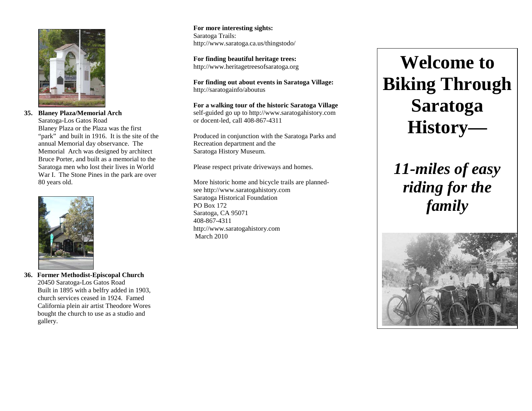

**35. Blaney Plaza/Memorial Arch**  Saratoga-Los Gatos Road Blaney Plaza or the Plaza was the first "park" and built in 1916. It is the site of the annual Memorial day observance. The Memorial Arch was designed by architect Bruce Porter, and built as a memorial to the Saratoga men who lost their lives in World War I. The Stone Pines in the park are over 80 years old.



**36. Former Methodist-Episcopal Church**  20450 Saratoga-Los Gatos Road Built in 1895 with a belfry added in 1903, church services ceased in 1924. Famed California plein air artist Theodore Wores bought the church to use as a studio and gallery.

**For more interesting sights:** Saratoga Trails: http://www.saratoga.ca.us/thingstodo/

**For finding beautiful heritage trees:** http://www.heritagetreesofsaratoga.org

**For finding out about events in Saratoga Village:** http://saratogainfo/aboutus

**For a walking tour of the historic Saratoga Village** self-guided go up to http://www.saratogahistory.com or docent-led, call 408-867-4311

Produced in conjunction with the Saratoga Parks and Recreation department and the Saratoga History Museum.

Please respect private driveways and homes.

More historic home and bicycle trails are plannedsee http://www.saratogahistory.com Saratoga Historical Foundation PO Box 172 Saratoga, CA 95071 408-867-4311 http://www.saratogahistory.com March 2010

# **Welcome to Biking ThroughSaratoga History—**

*11-miles of easy riding for the family*